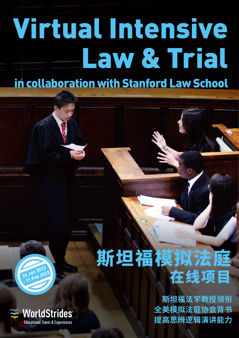# Virtual Intensive Law & Trial in collaboration with Stanford Law School

## **24 Jan 2022** 24 Jan 2022<br>- 11 Feb 2022



## 斯坦福模拟法庭 在线项目

**斯坦福法学教授领衔 全美模拟法庭协会背书 提高思辨逻辑演讲能力**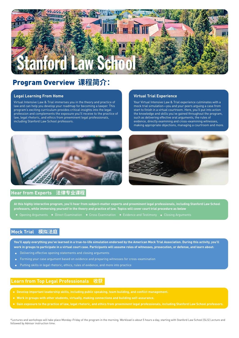

## Program Overview **课程简介:**

#### **Legal Learning From Home**

Virtual Intensive Law & Trial immerses you in the theory and practice of law and can help you develop your roadmap for becoming a lawyer. This program's exciting curriculum provides critical insights into the legal profession and complements the exposure you'll receive to the practice of law, legal rhetoric, and ethics from preeminent legal professionals, including Stanford Law School professors.

#### **Virtual Trial Experience**

Your Virtual Intensive Law & Trial experience culminates with a mock trial simulation—you and your peers arguing a case from start to finish in a virtual courtroom. Here, you'll put into action the knowledge and skills you've gained throughout the program, such as delivering effective oral arguments, the rules of evidence, directly examining and cross-examining witnesses, making appropriate objections, managing a courtroom and more.





#### **Hear from Experts 法律专业课程**

**At this highly interactive program, you'll hear from subject-matter experts and preeminent legal professionals, including Stanford Law School professors, while immersing yourself in the theory and practice of law. Topics will cover court trial procedure as below**

#### **Mock Trial 模拟法庭**

**You'll apply everything you've learned in a true-to-life simulation endorsed by the American Mock Trial Association. During this activity, you'll work in groups to participate in a virtual court case. Participants will assume roles of witnesses, prosecution, or defense, and learn about:**

- Delivering effective opening statements and closing arguments
- Forming your case argument based on evidence and preparing witnesses for cross-examination
- Putting skills in legal rhetoric, ethics, rules of evidence, and more into practice

#### **Learn from Top Legal Professionals 收获**

- **Develop important leadership skills, including public speaking, team building, and conflict management.**
- 
- **Gain exposure to the practice of law, legal rhetoric, and ethics from preeminent legal professionals, including Stanford Law School professors.**

\*Lectures and workshops will take place Monday–Friday of the program in the morning. Workload is about 5 hours a day, starting with Stanford Law School (SLS) Lecture and followed by Advisor instruction time.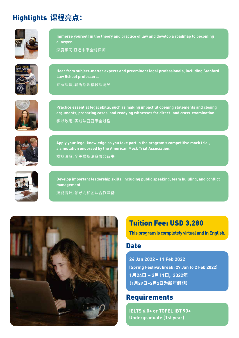## Highlights **课程亮点:**



**Immerse yourself in the theory and practice of law and develop a roadmap to becoming a lawyer.**

深度学习,打造未来全能律师



**Hear from subject-matter experts and preeminent legal professionals, including Stanford Law School professors.**

专家授课,聆听斯坦福教授洞见



**Practice essential legal skills, such as making impactful opening statements and closing arguments, preparing cases, and readying witnesses for direct- and cross-examination.** 学以致用,实践法庭庭审全过程



**Apply your legal knowledge as you take part in the program's competitive mock trial, a simulation endorsed by the American Mock Trial Association.**

模拟法庭,全美模拟法庭协会背书



**Develop important leadership skills, including public speaking, team building, and conflict management.**

技能提升,领导力和团队合作兼备



## Tuition Fee: USD 3,280

**This program is completely virtual and in English.**

### **Date**

**24 Jan 2022 - 11 Feb 2022 (Spring Festival break: 29 Jan to 2 Feb 2022) 1月24日 ~ 2月11日, 2022年 (1月29日~2月2日为新年假期)**

## Requirements

**IELTS 6.0+ or TOFEL IBT 90+ Undergraduate (1st year)**